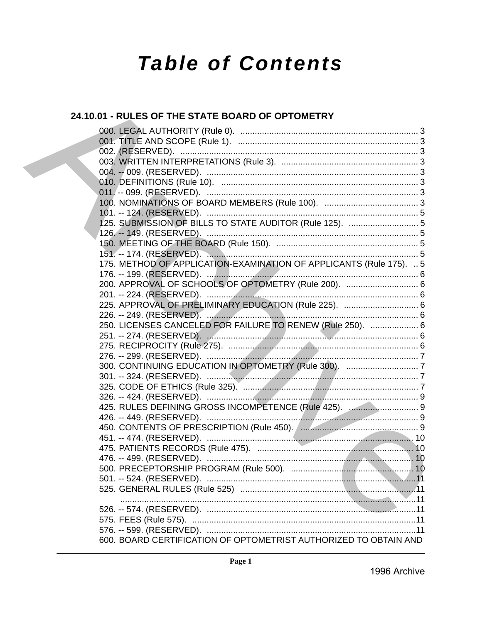# **Table of Contents**

## 24.10.01 - RULES OF THE STATE BOARD OF OPTOMETRY

|  | 175. METHOD OF APPLICATION-EXAMINATION OF APPLICANTS (Rule 175).  5 |  |
|--|---------------------------------------------------------------------|--|
|  |                                                                     |  |
|  | 200. APPROVAL OF SCHOOLS OF OPTOMETRY (Rule 200).  6                |  |
|  |                                                                     |  |
|  |                                                                     |  |
|  |                                                                     |  |
|  | 250. LICENSES CANCELED FOR FAILURE TO RENEW (Rule 250).  6          |  |
|  |                                                                     |  |
|  |                                                                     |  |
|  |                                                                     |  |
|  |                                                                     |  |
|  |                                                                     |  |
|  |                                                                     |  |
|  |                                                                     |  |
|  | 425. RULES DEFINING GROSS INCOMPETENCE (Rule 425).  9               |  |
|  |                                                                     |  |
|  |                                                                     |  |
|  |                                                                     |  |
|  |                                                                     |  |
|  |                                                                     |  |
|  |                                                                     |  |
|  |                                                                     |  |
|  |                                                                     |  |
|  |                                                                     |  |
|  |                                                                     |  |
|  |                                                                     |  |
|  |                                                                     |  |
|  |                                                                     |  |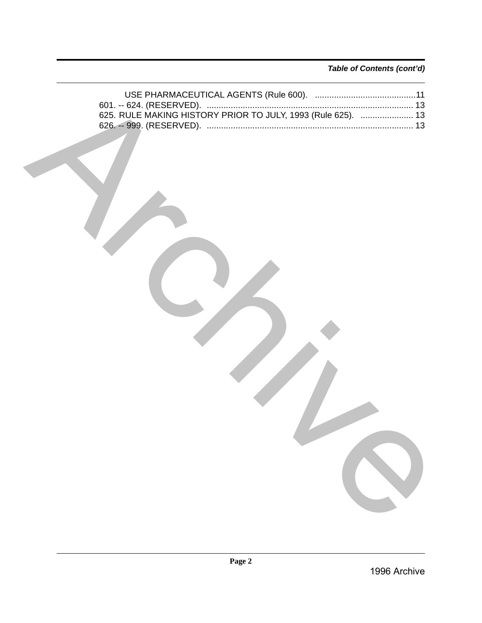*Table of Contents (cont'd)*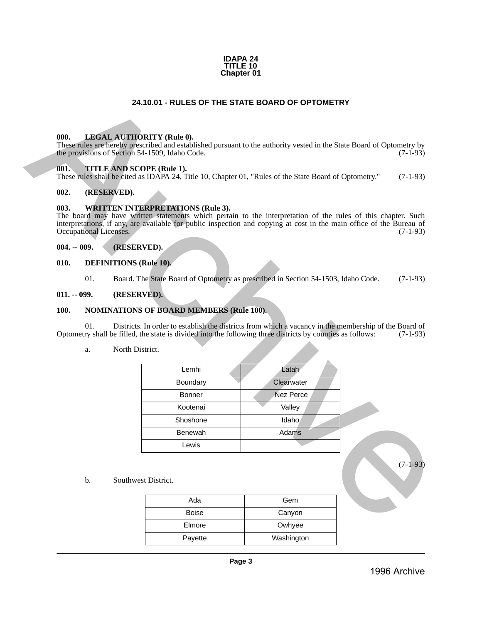#### **IDAPA 24 TITLE 10 Chapter 01**

## **24.10.01 - RULES OF THE STATE BOARD OF OPTOMETRY**

#### <span id="page-2-1"></span>**000. LEGAL AUTHORITY (Rule 0).**

#### <span id="page-2-2"></span>**001. TITLE AND SCOPE (Rule 1).**

#### <span id="page-2-3"></span>**002. (RESERVED).**

#### <span id="page-2-4"></span>**003. WRITTEN INTERPRETATIONS (Rule 3).**

#### <span id="page-2-5"></span>**004. -- 009. (RESERVED).**

#### <span id="page-2-6"></span>**010. DEFINITIONS (Rule 10).**

#### <span id="page-2-7"></span>**011. -- 099. (RESERVED).**

#### <span id="page-2-8"></span>**100. NOMINATIONS OF BOARD MEMBERS (Rule 100).**

#### a. North District.

<span id="page-2-0"></span>

|               |                        |                               | 24.10.01 - RULES OF THE STATE BOARD OF OPTOMETRY                                                                                                                                                                                                                                 |                  |            |
|---------------|------------------------|-------------------------------|----------------------------------------------------------------------------------------------------------------------------------------------------------------------------------------------------------------------------------------------------------------------------------|------------------|------------|
|               |                        |                               |                                                                                                                                                                                                                                                                                  |                  |            |
| 000.          |                        |                               | <b>LEGAL AUTHORITY (Rule 0).</b><br>These rules are hereby prescribed and established pursuant to the authority vested in the State Board of Optometry by<br>the provisions of Section 54-1509, Idaho Code.                                                                      |                  | $(7-1-93)$ |
| 001.          |                        |                               | TITLE AND SCOPE (Rule 1).<br>These rules shall be cited as IDAPA 24, Title 10, Chapter 01, "Rules of the State Board of Optometry."                                                                                                                                              |                  | $(7-1-93)$ |
| 002.          |                        | (RESERVED).                   |                                                                                                                                                                                                                                                                                  |                  |            |
| 003.          | Occupational Licenses. |                               | <b>WRITTEN INTERPRETATIONS (Rule 3).</b><br>The board may have written statements which pertain to the interpretation of the rules of this chapter. Such<br>interpretations, if any, are available for public inspection and copying at cost in the main office of the Bureau of |                  | $(7-1-93)$ |
| $004. - 009.$ |                        | (RESERVED).                   |                                                                                                                                                                                                                                                                                  |                  |            |
| 010.          |                        | <b>DEFINITIONS</b> (Rule 10). |                                                                                                                                                                                                                                                                                  |                  |            |
|               | 01.                    |                               | Board. The State Board of Optometry as prescribed in Section 54-1503, Idaho Code.                                                                                                                                                                                                |                  | $(7-1-93)$ |
| $011. - 099.$ |                        | (RESERVED).                   |                                                                                                                                                                                                                                                                                  |                  |            |
| 100.          |                        |                               | <b>NOMINATIONS OF BOARD MEMBERS (Rule 100).</b>                                                                                                                                                                                                                                  |                  |            |
|               | 01.                    |                               | Districts. In order to establish the districts from which a vacancy in the membership of the Board of<br>Optometry shall be filled, the state is divided into the following three districts by counties as follows:                                                              |                  | $(7-1-93)$ |
|               | a.                     | North District.               |                                                                                                                                                                                                                                                                                  |                  |            |
|               |                        |                               | Lemhi                                                                                                                                                                                                                                                                            | Latah            |            |
|               |                        |                               | Boundary                                                                                                                                                                                                                                                                         | Clearwater       |            |
|               |                        |                               | <b>Bonner</b>                                                                                                                                                                                                                                                                    | <b>Nez Perce</b> |            |
|               |                        |                               | Kootenai                                                                                                                                                                                                                                                                         | Valley           |            |
|               |                        |                               | Shoshone                                                                                                                                                                                                                                                                         | Idaho            |            |
|               |                        |                               | Benewah                                                                                                                                                                                                                                                                          | Adams            |            |
|               |                        |                               | Lewis                                                                                                                                                                                                                                                                            |                  |            |
|               | b.                     | Southwest District.           |                                                                                                                                                                                                                                                                                  |                  | $(7-1-93)$ |
|               |                        |                               | Ada                                                                                                                                                                                                                                                                              | Gem              |            |
|               |                        |                               | Boise                                                                                                                                                                                                                                                                            | Canyon           |            |
|               |                        |                               | $E$ Imore                                                                                                                                                                                                                                                                        | Owbvoo           |            |

| Ada          | Gem        |
|--------------|------------|
| <b>Boise</b> | Canyon     |
| Elmore       | Owhyee     |
| Payette      | Washington |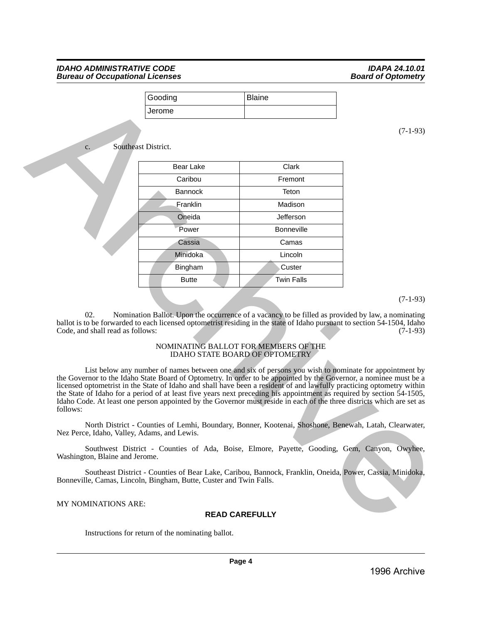|                                                                                                                                                                                                                                                                                                                                                                                                                                                                                                                                                                                                                                                                                                                                                                                                                                                                                                                                                                                                                                                                                                                                                                                                                                                                                                                                                                                                                                                                         | Gooding          | <b>Blaine</b>     |            |  |  |  |  |
|-------------------------------------------------------------------------------------------------------------------------------------------------------------------------------------------------------------------------------------------------------------------------------------------------------------------------------------------------------------------------------------------------------------------------------------------------------------------------------------------------------------------------------------------------------------------------------------------------------------------------------------------------------------------------------------------------------------------------------------------------------------------------------------------------------------------------------------------------------------------------------------------------------------------------------------------------------------------------------------------------------------------------------------------------------------------------------------------------------------------------------------------------------------------------------------------------------------------------------------------------------------------------------------------------------------------------------------------------------------------------------------------------------------------------------------------------------------------------|------------------|-------------------|------------|--|--|--|--|
|                                                                                                                                                                                                                                                                                                                                                                                                                                                                                                                                                                                                                                                                                                                                                                                                                                                                                                                                                                                                                                                                                                                                                                                                                                                                                                                                                                                                                                                                         | Jerome           |                   |            |  |  |  |  |
| Southeast District.<br>c.                                                                                                                                                                                                                                                                                                                                                                                                                                                                                                                                                                                                                                                                                                                                                                                                                                                                                                                                                                                                                                                                                                                                                                                                                                                                                                                                                                                                                                               |                  |                   | $(7-1-93)$ |  |  |  |  |
|                                                                                                                                                                                                                                                                                                                                                                                                                                                                                                                                                                                                                                                                                                                                                                                                                                                                                                                                                                                                                                                                                                                                                                                                                                                                                                                                                                                                                                                                         | <b>Bear Lake</b> | Clark             |            |  |  |  |  |
|                                                                                                                                                                                                                                                                                                                                                                                                                                                                                                                                                                                                                                                                                                                                                                                                                                                                                                                                                                                                                                                                                                                                                                                                                                                                                                                                                                                                                                                                         | Caribou          | Fremont           |            |  |  |  |  |
|                                                                                                                                                                                                                                                                                                                                                                                                                                                                                                                                                                                                                                                                                                                                                                                                                                                                                                                                                                                                                                                                                                                                                                                                                                                                                                                                                                                                                                                                         | <b>Bannock</b>   | Teton             |            |  |  |  |  |
|                                                                                                                                                                                                                                                                                                                                                                                                                                                                                                                                                                                                                                                                                                                                                                                                                                                                                                                                                                                                                                                                                                                                                                                                                                                                                                                                                                                                                                                                         | Franklin         | Madison           |            |  |  |  |  |
|                                                                                                                                                                                                                                                                                                                                                                                                                                                                                                                                                                                                                                                                                                                                                                                                                                                                                                                                                                                                                                                                                                                                                                                                                                                                                                                                                                                                                                                                         | Oneida           | Jefferson         |            |  |  |  |  |
|                                                                                                                                                                                                                                                                                                                                                                                                                                                                                                                                                                                                                                                                                                                                                                                                                                                                                                                                                                                                                                                                                                                                                                                                                                                                                                                                                                                                                                                                         | Power            | <b>Bonneville</b> |            |  |  |  |  |
|                                                                                                                                                                                                                                                                                                                                                                                                                                                                                                                                                                                                                                                                                                                                                                                                                                                                                                                                                                                                                                                                                                                                                                                                                                                                                                                                                                                                                                                                         | Cassia           | Camas             |            |  |  |  |  |
|                                                                                                                                                                                                                                                                                                                                                                                                                                                                                                                                                                                                                                                                                                                                                                                                                                                                                                                                                                                                                                                                                                                                                                                                                                                                                                                                                                                                                                                                         | Minidoka         | Lincoln           |            |  |  |  |  |
|                                                                                                                                                                                                                                                                                                                                                                                                                                                                                                                                                                                                                                                                                                                                                                                                                                                                                                                                                                                                                                                                                                                                                                                                                                                                                                                                                                                                                                                                         | Bingham          | Custer            |            |  |  |  |  |
|                                                                                                                                                                                                                                                                                                                                                                                                                                                                                                                                                                                                                                                                                                                                                                                                                                                                                                                                                                                                                                                                                                                                                                                                                                                                                                                                                                                                                                                                         | <b>Butte</b>     | <b>Twin Falls</b> |            |  |  |  |  |
| 02.<br>Nomination Ballot. Upon the occurrence of a vacancy to be filled as provided by law, a nominating<br>ballot is to be forwarded to each licensed optometrist residing in the state of Idaho pursuant to section 54-1504, Idaho<br>Code, and shall read as follows:<br>$(7-1-93)$<br>NOMINATING BALLOT FOR MEMBERS OF THE<br><b>IDAHO STATE BOARD OF OPTOMETRY</b><br>List below any number of names between one and six of persons you wish to nominate for appointment by<br>the Governor to the Idaho State Board of Optometry. In order to be appointed by the Governor, a nominee must be a<br>licensed optometrist in the State of Idaho and shall have been a resident of and lawfully practicing optometry within<br>the State of Idaho for a period of at least five years next preceding his appointment as required by section 54-1505,<br>Idaho Code. At least one person appointed by the Governor must reside in each of the three districts which are set as<br>follows:<br>North District - Counties of Lemhi, Boundary, Bonner, Kootenai, Shoshone, Benewah, Latah, Clearwater,<br>Nez Perce, Idaho, Valley, Adams, and Lewis.<br>Southwest District - Counties of Ada, Boise, Elmore, Payette, Gooding, Gem, Canyon, Owyhee,<br>Washington, Blaine and Jerome.<br>Southeast District - Counties of Bear Lake, Caribou, Bannock, Franklin, Oneida, Power, Cassia, Minidoka,<br>Bonneville, Camas, Lincoln, Bingham, Butte, Custer and Twin Falls. |                  |                   |            |  |  |  |  |
| MY NOMINATIONS ARE:<br><b>READ CAREFULLY</b>                                                                                                                                                                                                                                                                                                                                                                                                                                                                                                                                                                                                                                                                                                                                                                                                                                                                                                                                                                                                                                                                                                                                                                                                                                                                                                                                                                                                                            |                  |                   |            |  |  |  |  |

#### NOMINATING BALLOT FOR MEMBERS OF THE IDAHO STATE BOARD OF OPTOMETRY

#### MY NOMINATIONS ARE:

## **READ CAREFULLY**

Instructions for return of the nominating ballot.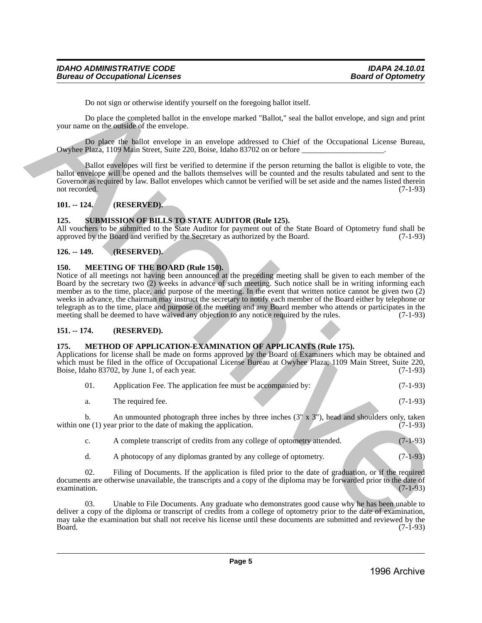Do not sign or otherwise identify yourself on the foregoing ballot itself.

Do place the completed ballot in the envelope marked "Ballot," seal the ballot envelope, and sign and print your name on the outside of the envelope.

Do place the ballot envelope in an envelope addressed to Chief of the Occupational License Bureau, Owyhee Plaza, 1109 Main Street, Suite 220, Boise, Idaho 83702 on or before \_\_\_\_\_\_\_\_\_\_\_\_\_\_\_\_\_\_\_\_\_.

Ballot envelopes will first be verified to determine if the person returning the ballot is eligible to vote, the ballot envelope will be opened and the ballots themselves will be counted and the results tabulated and sent to the Governor as required by law. Ballot envelopes which cannot be verified will be set aside and the names listed therein not recorded. (7-1-93) not recorded. (7-1-93)

## <span id="page-4-0"></span>**101. -- 124. (RESERVED).**

## <span id="page-4-1"></span>**125. SUBMISSION OF BILLS TO STATE AUDITOR (Rule 125).**

All vouchers to be submitted to the State Auditor for payment out of the State Board of Optometry fund shall be approved by the Board and verified by the Secretary as authorized by the Board. (7-1-93)

## <span id="page-4-2"></span>**126. -- 149. (RESERVED).**

#### <span id="page-4-3"></span>**150. MEETING OF THE BOARD (Rule 150).**

Notice of all meetings not having been announced at the preceding meeting shall be given to each member of the Board by the secretary two (2) weeks in advance of such meeting. Such notice shall be in writing informing each member as to the time, place, and purpose of the meeting. In the event that written notice cannot be given two (2) weeks in advance, the chairman may instruct the secretary to notify each member of the Board either by telephone or telegraph as to the time, place and purpose of the meeting and any Board member who attends or participates in the meeting shall be deemed to have waived any objection to any notice required by the rules. (7-1-93) Do not sign or otherwise identify yearsed on the foregoing bulbar iself.<br>
The place the consideration in the correlation of the consideration of the Couplantine in the state of the Couplantine in the state of the Couplant

## <span id="page-4-4"></span>**151. -- 174. (RESERVED).**

#### <span id="page-4-5"></span>**175. METHOD OF APPLICATION-EXAMINATION OF APPLICANTS (Rule 175).**

Applications for license shall be made on forms approved by the Board of Examiners which may be obtained and which must be filed in the office of Occupational License Bureau at Owyhee Plaza, 1109 Main Street, Suite 220,<br>Boise, Idaho 83702, by June 1, of each year. (7-1-93) Boise, Idaho 83702, by June 1, of each year.

| 01. | Application Fee. The application fee must be accompanied by: |  | $(7-1-93)$ |
|-----|--------------------------------------------------------------|--|------------|
|     | The required fee.                                            |  | $(7-1-93)$ |

b. An unmounted photograph three inches by three inches  $(3" \times 3")$ , head and shoulders only, taken within one  $(1)$  year prior to the date of making the application.  $(7-1-93)$ 

c. A complete transcript of credits from any college of optometry attended. (7-1-93)

d. A photocopy of any diplomas granted by any college of optometry. (7-1-93)

02. Filing of Documents. If the application is filed prior to the date of graduation, or if the required documents are otherwise unavailable, the transcripts and a copy of the diploma may be forwarded prior to the date of examination. (7-1-93)  $\alpha$  examination. (7-1-93)

03. Unable to File Documents. Any graduate who demonstrates good cause why he has been unable to deliver a copy of the diploma or transcript of credits from a college of optometry prior to the date of examination, may take the examination but shall not receive his license until these documents are submitted and reviewed by the Board. (7-1-93) Board. (7-1-93)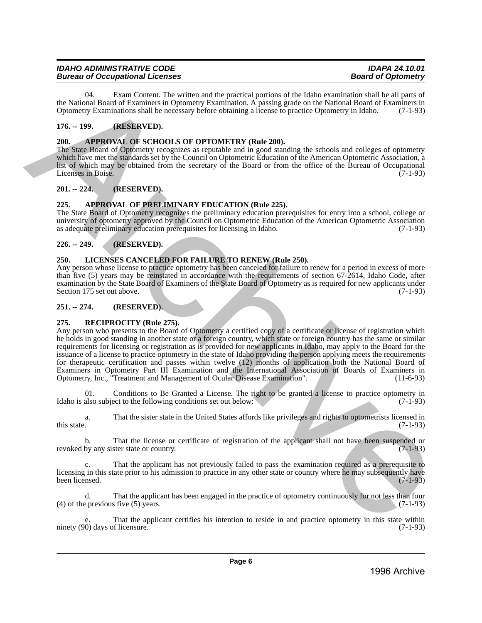| <b>IDAHO ADMINISTRATIVE CODE</b>       | <b>IDAPA 24.10.01</b>     |
|----------------------------------------|---------------------------|
| <b>Bureau of Occupational Licenses</b> | <b>Board of Optometry</b> |

04. Exam Content. The written and the practical portions of the Idaho examination shall be all parts of the National Board of Examiners in Optometry Examination. A passing grade on the National Board of Examiners in Optometry Examinations shall be necessary before obtaining a license to practice Optometry in Idaho. (7-1-93)

## <span id="page-5-0"></span>**176. -- 199. (RESERVED).**

## <span id="page-5-1"></span>**200. APPROVAL OF SCHOOLS OF OPTOMETRY (Rule 200).**

The State Board of Optometry recognizes as reputable and in good standing the schools and colleges of optometry which have met the standards set by the Council on Optometric Education of the American Optometric Association, a list of which may be obtained from the secretary of the Board or from the office of the Bureau of Occupational Licenses in Boise. (7-1-93)

## <span id="page-5-2"></span>**201. -- 224. (RESERVED).**

## <span id="page-5-3"></span>**225. APPROVAL OF PRELIMINARY EDUCATION (Rule 225).**

The State Board of Optometry recognizes the preliminary education prerequisites for entry into a school, college or university of optometry approved by the Council on Optometric Education of the American Optometric Association<br>as adequate preliminary education prerequisites for licensing in Idaho. (7-1-93) as adequate preliminary education prerequisites for licensing in Idaho.

## <span id="page-5-4"></span>**226. -- 249. (RESERVED).**

## <span id="page-5-5"></span>**250. LICENSES CANCELED FOR FAILURE TO RENEW (Rule 250).**

Any person whose license to practice optometry has been canceled for failure to renew for a period in excess of more than five (5) years may be reinstated in accordance with the requirements of section 67-2614, Idaho Code, after examination by the State Board of Examiners of the State Board of Optometry as is required for new applicants under<br>Section 175 set out above. (7-1-93) Section 175 set out above.

## <span id="page-5-6"></span>**251. -- 274. (RESERVED).**

## <span id="page-5-7"></span>**275. RECIPROCITY (Rule 275).**

Any person who presents to the Board of Optometry a certified copy of a certificate or license of registration which he holds in good standing in another state or a foreign country, which state or foreign country has the same or similar requirements for licensing or registration as is provided for new applicants in Idaho, may apply to the Board for the issuance of a license to practice optometry in the state of Idaho providing the person applying meets the requirements for therapeutic certification and passes within twelve (12) months of application both the National Board of Examiners in Optometry Part III Examination and the International Association of Boards of Examiners in Optometry, Inc., "Treatment and Management of Ocular Disease Examination". (11-6-93) The Castelli Burker The section is the procedure of the burst of the laboratoric state is a property of the section of the section of the section of the section of the section of the section of the section of the section

01. Conditions to Be Granted a License. The right to be granted a license to practice optometry in also subject to the following conditions set out below: (7-1-93) Idaho is also subject to the following conditions set out below:

a. That the sister state in the United States affords like privileges and rights to optometrists licensed in this state.  $(7-1-93)$ 

b. That the license or certificate of registration of the applicant shall not have been suspended or by any sister state or country. (7-1-93) revoked by any sister state or country.

That the applicant has not previously failed to pass the examination required as a prerequisite to licensing in this state prior to his admission to practice in any other state or country where he may subsequently have been licensed. (7-1-93) been licensed. (7-1-93)

That the applicant has been engaged in the practice of optometry continuously for not less than four (4) of the previous five (5) years.  $(7-1-93)$ 

e. That the applicant certifies his intention to reside in and practice optometry in this state within (0) days of licensure. (7-1-93) ninety  $(90)$  days of licensure.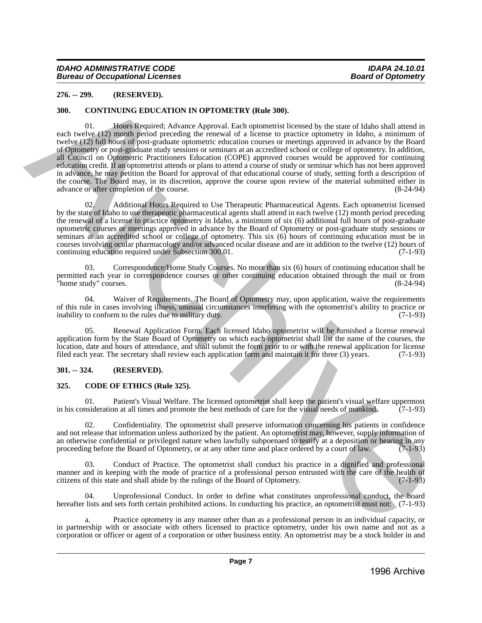## <span id="page-6-0"></span>**276. -- 299. (RESERVED).**

## <span id="page-6-1"></span>**300. CONTINUING EDUCATION IN OPTOMETRY (Rule 300).**

01. Hours Required; Advance Approval. Each optometrist licensed by the state of Idaho shall attend in each twelve (12) month period preceding the renewal of a license to practice optometry in Idaho, a minimum of twelve (12) full hours of post-graduate optometric education courses or meetings approved in advance by the Board of Optometry or post-graduate study sessions or seminars at an accredited school or college of optometry. In addition, all Council on Optometric Practitioners Education (COPE) approved courses would be approved for continuing education credit. If an optometrist attends or plans to attend a course of study or seminar which has not been approved in advance, he may petition the Board for approval of that educational course of study, setting forth a description of the course. The Board may, in its discretion, approve the course upon review of the material submitted either in advance or after completion of the course. advance or after completion of the course. 276. - 299. **(HSSENVING)** Normalization (Mate 300).<br>
39. CONTINUES EDUCATION IN OPTOMETRY (Rais 300).<br>
39. CONTINUES EQUECATION IN OPTOMETRY (Rais 300).<br>
2016 Product Advance Approval Exist opposite is focused by the stat

02. Additional Hours Required to Use Therapeutic Pharmaceutical Agents. Each optometrist licensed by the state of Idaho to use therapeutic pharmaceutical agents shall attend in each twelve (12) month period preceding the renewal of a license to practice optometry in Idaho, a minimum of six (6) additional full hours of post-graduate optometric courses or meetings approved in advance by the Board of Optometry or post-graduate study sessions or seminars at an accredited school or college of optometry. This six (6) hours of continuing education must be in courses involving ocular pharmacology and/or advanced ocular disease and are in addition to the twelve (12) hours of continuing education required under Subsection 300.01. (7-1-93) continuing education required under Subsection 300.01.

03. Correspondence/Home Study Courses. No more than six (6) hours of continuing education shall be permitted each year in correspondence courses or other continuing education obtained through the mail or from "home study" courses. (8-24-94)

04. Waiver of Requirements. The Board of Optometry may, upon application, waive the requirements of this rule in cases involving illness, unusual circumstances interfering with the optometrist's ability to practice or inability to conform to the rules due to military duty. (7-1-93) inability to conform to the rules due to military duty.

Renewal Application Form. Each licensed Idaho optometrist will be furnished a license renewal application form by the State Board of Optometry on which each optometrist shall list the name of the courses, the location, date and hours of attendance, and shall submit the form prior to or with the renewal application for license filed each year. The secretary shall review each application form and maintain it for three (3) years. (7-1-93)

## <span id="page-6-2"></span>**301. -- 324. (RESERVED).**

## <span id="page-6-3"></span>**325. CODE OF ETHICS (Rule 325).**

01. Patient's Visual Welfare. The licensed optometrist shall keep the patient's visual welfare uppermost nsideration at all times and promote the best methods of care for the visual needs of mankind. (7-1-93) in his consideration at all times and promote the best methods of care for the visual needs of mankind.

02. Confidentiality. The optometrist shall preserve information concerning his patients in confidence and not release that information unless authorized by the patient. An optometrist may, however, supply information of an otherwise confidential or privileged nature when lawfully subpoenaed to testify at a deposition or hearing in any proceeding before the Board of Optometry, or at any other time and place ordered by a court of law. (7-1proceeding before the Board of Optometry, or at any other time and place ordered by a court of law.

Conduct of Practice. The optometrist shall conduct his practice in a dignified and professional manner and in keeping with the mode of practice of a professional person entrusted with the care of the health of citizens of this state and shall abide by the rulings of the Board of Optometry. (7-1-93) citizens of this state and shall abide by the rulings of the Board of Optometry.

04. Unprofessional Conduct. In order to define what constitutes unprofessional conduct, the board hereafter lists and sets forth certain prohibited actions. In conducting his practice, an optometrist must not: (7-1-93)

a. Practice optometry in any manner other than as a professional person in an individual capacity, or in partnership with or associate with others licensed to practice optometry, under his own name and not as a corporation or officer or agent of a corporation or other business entity. An optometrist may be a stock holder in and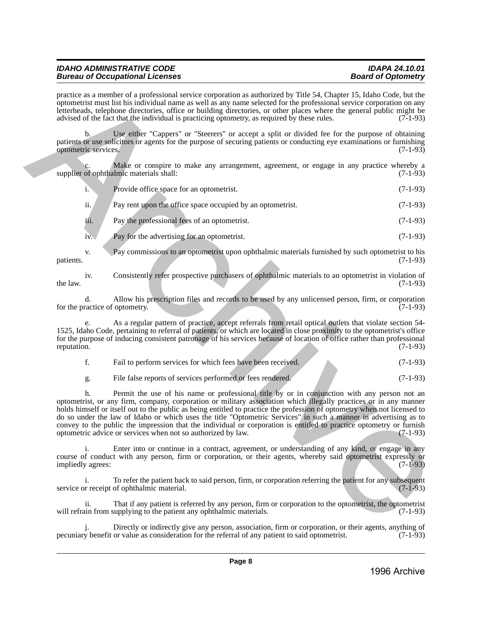|                                        | practice as a member of a professional service corporation as authorized by Title 54, Chapter 15, Idaho Code, but the<br>optometrist must list his individual name as well as any name selected for the professional service corporation on any<br>letterheads, telephone directories, office or building directories, or other places where the general public might be<br>advised of the fact that the individual is practicing optometry, as required by these rules.                                                                                                                                                                                 | $(7-1-93)$ |
|----------------------------------------|----------------------------------------------------------------------------------------------------------------------------------------------------------------------------------------------------------------------------------------------------------------------------------------------------------------------------------------------------------------------------------------------------------------------------------------------------------------------------------------------------------------------------------------------------------------------------------------------------------------------------------------------------------|------------|
| $\mathbf{b}$ .<br>optometric services. | Use either "Cappers" or "Steerers" or accept a split or divided fee for the purpose of obtaining<br>patients or use solicitors or agents for the purpose of securing patients or conducting eye examinations or furnishing                                                                                                                                                                                                                                                                                                                                                                                                                               | $(7-1-93)$ |
|                                        | Make or conspire to make any arrangement, agreement, or engage in any practice whereby a<br>supplier of ophthalmic materials shall:                                                                                                                                                                                                                                                                                                                                                                                                                                                                                                                      | $(7-1-93)$ |
| $\mathbf{i}$ .                         | Provide office space for an optometrist.                                                                                                                                                                                                                                                                                                                                                                                                                                                                                                                                                                                                                 | $(7-1-93)$ |
| ii.                                    | Pay rent upon the office space occupied by an optometrist.                                                                                                                                                                                                                                                                                                                                                                                                                                                                                                                                                                                               | $(7-1-93)$ |
| iii.                                   | Pay the professional fees of an optometrist.                                                                                                                                                                                                                                                                                                                                                                                                                                                                                                                                                                                                             | $(7-1-93)$ |
| iv.                                    | Pay for the advertising for an optometrist.                                                                                                                                                                                                                                                                                                                                                                                                                                                                                                                                                                                                              | $(7-1-93)$ |
| V.<br>patients.                        | Pay commissions to an optometrist upon ophthalmic materials furnished by such optometrist to his                                                                                                                                                                                                                                                                                                                                                                                                                                                                                                                                                         | $(7-1-93)$ |
| iv.<br>the law.                        | Consistently refer prospective purchasers of ophthalmic materials to an optometrist in violation of                                                                                                                                                                                                                                                                                                                                                                                                                                                                                                                                                      | $(7-1-93)$ |
| d.<br>for the practice of optometry.   | Allow his prescription files and records to be used by any unlicensed person, firm, or corporation                                                                                                                                                                                                                                                                                                                                                                                                                                                                                                                                                       | $(7-1-93)$ |
| reputation.                            | As a regular pattern of practice, accept referrals from retail optical outlets that violate section 54-<br>1525, Idaho Code, pertaining to referral of patients, or which are located in close proximity to the optometrist's office<br>for the purpose of inducing consistent patronage of his services because of location of office rather than professional                                                                                                                                                                                                                                                                                          | $(7-1-93)$ |
| f.                                     | Fail to perform services for which fees have been received.                                                                                                                                                                                                                                                                                                                                                                                                                                                                                                                                                                                              | $(7-1-93)$ |
| g.                                     | File false reports of services performed or fees rendered.                                                                                                                                                                                                                                                                                                                                                                                                                                                                                                                                                                                               | $(7-1-93)$ |
| h.                                     | Permit the use of his name or professional title by or in conjunction with any person not an<br>optometrist, or any firm, company, corporation or military association which illegally practices or in any manner<br>holds himself or itself out to the public as being entitled to practice the profession of optometry when not licensed to<br>do so under the law of Idaho or which uses the title "Optometric Services" in such a manner in advertising as to<br>convey to the public the impression that the individual or corporation is entitled to practice optometry or furnish<br>optometric advice or services when not so authorized by law. | $(7-1-93)$ |
| i.<br>impliedly agrees:                | Enter into or continue in a contract, agreement, or understanding of any kind, or engage in any<br>course of conduct with any person, firm or corporation, or their agents, whereby said optometrist expressly or                                                                                                                                                                                                                                                                                                                                                                                                                                        | $(7-1-93)$ |
| i.                                     | To refer the patient back to said person, firm, or corporation referring the patient for any subsequent<br>service or receipt of ophthalmic material.                                                                                                                                                                                                                                                                                                                                                                                                                                                                                                    | $(7-1-93)$ |
| ii.                                    | That if any patient is referred by any person, firm or corporation to the optometrist, the optometrist<br>will refrain from supplying to the patient any ophthalmic materials.                                                                                                                                                                                                                                                                                                                                                                                                                                                                           | $(7-1-93)$ |
|                                        |                                                                                                                                                                                                                                                                                                                                                                                                                                                                                                                                                                                                                                                          |            |

| Fail to perform services for which fees have been received. |  |  |  | $(7-1-93)$ |
|-------------------------------------------------------------|--|--|--|------------|
|                                                             |  |  |  |            |

Directly or indirectly give any person, association, firm or corporation, or their agents, anything of or value as consideration for the referral of any patient to said optometrist. (7-1-93) pecuniary benefit or value as consideration for the referral of any patient to said optometrist.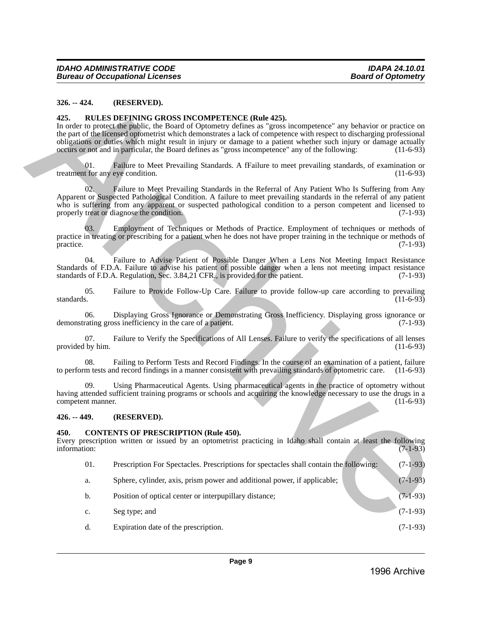#### <span id="page-8-0"></span>**326. -- 424. (RESERVED).**

#### <span id="page-8-1"></span>**425. RULES DEFINING GROSS INCOMPETENCE (Rule 425).**

In order to protect the public, the Board of Optometry defines as "gross incompetence" any behavior or practice on the part of the licensed optometrist which demonstrates a lack of competence with respect to discharging professional obligations or duties which might result in injury or damage to a patient whether such injury or damage actually occurs or not and in particular, the Board defines as "gross incompetence" any of the following: (11-6-93)

01. Failure to Meet Prevailing Standards. A fFailure to meet prevailing standards, of examination or treatment for any eye condition. (11-6-93)

02. Failure to Meet Prevailing Standards in the Referral of Any Patient Who Is Suffering from Any Apparent or Suspected Pathological Condition. A failure to meet prevailing standards in the referral of any patient who is suffering from any apparent or suspected pathological condition to a person competent and licensed to properly treat or diagnose the condition. (7-1-93) 336. – 434. (RESERVED).<br>
435. NELES DETENCTE DE (ROIS 435).<br>
436. NELES DETENCTE (ROIS 435).<br>
436. NELES DETENCTE (ROIS 435).<br>
An otoco procession space of Operacity Schnes at a gross incomposition of problem of provides

03. Employment of Techniques or Methods of Practice. Employment of techniques or methods of practice in treating or prescribing for a patient when he does not have proper training in the technique or methods of practice. (7-1-93) practice. (7-1-93)

04. Failure to Advise Patient of Possible Danger When a Lens Not Meeting Impact Resistance Standards of F.D.A. Failure to advise his patient of possible danger when a lens not meeting impact resistance standards of F.D.A. Regulation, Sec. 3.84.21 CFR, is provided for the patient. (7-1-93) standards of F.D.A. Regulation, Sec. 3.84,21 CFR., is provided for the patient.

05. Failure to Provide Follow-Up Care. Failure to provide follow-up care according to prevailing standards. (11-6-93) standards. (11-6-93)

06. Displaying Gross Ignorance or Demonstrating Gross Inefficiency. Displaying gross ignorance or Teating gross inefficiency in the care of a patient. (7-1-93) demonstrating gross inefficiency in the care of a patient.

07. Failure to Verify the Specifications of All Lenses. Failure to verify the specifications of all lenses by him. (11-6-93) provided by him.

08. Failing to Perform Tests and Record Findings. In the course of an examination of a patient, failure m tests and record findings in a manner consistent with prevailing standards of optometric care. (11-6-93) to perform tests and record findings in a manner consistent with prevailing standards of optometric care.

09. Using Pharmaceutical Agents. Using pharmaceutical agents in the practice of optometry without having attended sufficient training programs or schools and acquiring the knowledge necessary to use the drugs in a competent manner. (11-6-93) competent manner.

#### <span id="page-8-2"></span>**426. -- 449. (RESERVED).**

#### <span id="page-8-3"></span>**450. CONTENTS OF PRESCRIPTION (Rule 450).**

Every prescription written or issued by an optometrist practicing in Idaho shall contain at least the following information:  $(7-1-93)$ 

- 01. Prescription For Spectacles. Prescriptions for spectacles shall contain the following: (7-1-93)
- a. Sphere, cylinder, axis, prism power and additional power, if applicable; (7-1-93)
- b. Position of optical center or interpupillary distance; (7-1-93)
- c. Seg type; and  $(7-1-93)$
- d. Expiration date of the prescription. (7-1-93)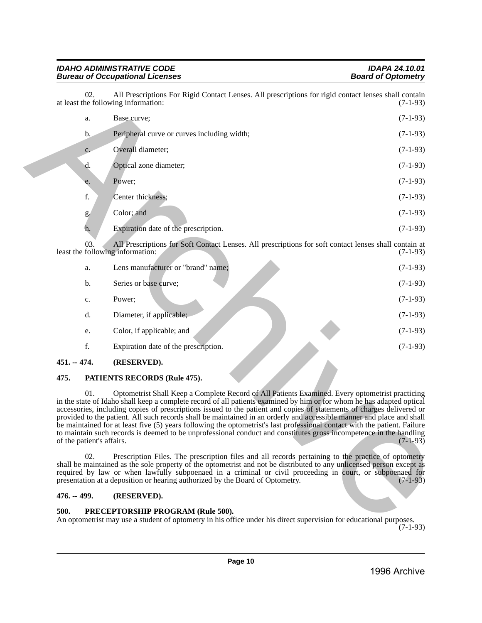| 02.                                     | All Prescriptions For Rigid Contact Lenses. All prescriptions for rigid contact lenses shall contain<br>at least the following information:                                                                                                                                                                                                                                                                                                                                                                                                                                                                                                                                                                                   | $(7-1-93)$ |
|-----------------------------------------|-------------------------------------------------------------------------------------------------------------------------------------------------------------------------------------------------------------------------------------------------------------------------------------------------------------------------------------------------------------------------------------------------------------------------------------------------------------------------------------------------------------------------------------------------------------------------------------------------------------------------------------------------------------------------------------------------------------------------------|------------|
| a.                                      | Base curve;                                                                                                                                                                                                                                                                                                                                                                                                                                                                                                                                                                                                                                                                                                                   | $(7-1-93)$ |
| $\mathbf{b}$ .                          | Peripheral curve or curves including width;                                                                                                                                                                                                                                                                                                                                                                                                                                                                                                                                                                                                                                                                                   | $(7-1-93)$ |
| c.                                      | Overall diameter;                                                                                                                                                                                                                                                                                                                                                                                                                                                                                                                                                                                                                                                                                                             | $(7-1-93)$ |
| d.                                      | Optical zone diameter;                                                                                                                                                                                                                                                                                                                                                                                                                                                                                                                                                                                                                                                                                                        | $(7-1-93)$ |
| e.                                      | Power;                                                                                                                                                                                                                                                                                                                                                                                                                                                                                                                                                                                                                                                                                                                        | $(7-1-93)$ |
| f.                                      | Center thickness;                                                                                                                                                                                                                                                                                                                                                                                                                                                                                                                                                                                                                                                                                                             | $(7-1-93)$ |
| g.                                      | Color; and                                                                                                                                                                                                                                                                                                                                                                                                                                                                                                                                                                                                                                                                                                                    | $(7-1-93)$ |
| h.                                      | Expiration date of the prescription.                                                                                                                                                                                                                                                                                                                                                                                                                                                                                                                                                                                                                                                                                          | $(7-1-93)$ |
| 03.<br>least the following information: | All Prescriptions for Soft Contact Lenses. All prescriptions for soft contact lenses shall contain at                                                                                                                                                                                                                                                                                                                                                                                                                                                                                                                                                                                                                         | $(7-1-93)$ |
| a.                                      | Lens manufacturer or "brand" name;                                                                                                                                                                                                                                                                                                                                                                                                                                                                                                                                                                                                                                                                                            | $(7-1-93)$ |
| b.                                      | Series or base curve;                                                                                                                                                                                                                                                                                                                                                                                                                                                                                                                                                                                                                                                                                                         | $(7-1-93)$ |
| $\mathbf{c}.$                           | Power;                                                                                                                                                                                                                                                                                                                                                                                                                                                                                                                                                                                                                                                                                                                        | $(7-1-93)$ |
| d.                                      | Diameter, if applicable;                                                                                                                                                                                                                                                                                                                                                                                                                                                                                                                                                                                                                                                                                                      | $(7-1-93)$ |
| e.                                      | Color, if applicable; and                                                                                                                                                                                                                                                                                                                                                                                                                                                                                                                                                                                                                                                                                                     | $(7-1-93)$ |
| f.                                      | Expiration date of the prescription.                                                                                                                                                                                                                                                                                                                                                                                                                                                                                                                                                                                                                                                                                          | $(7-1-93)$ |
| $451. - 474.$                           | (RESERVED).                                                                                                                                                                                                                                                                                                                                                                                                                                                                                                                                                                                                                                                                                                                   |            |
| 475.                                    | PATIENTS RECORDS (Rule 475).                                                                                                                                                                                                                                                                                                                                                                                                                                                                                                                                                                                                                                                                                                  |            |
| 01.<br>of the patient's affairs.        | Optometrist Shall Keep a Complete Record of All Patients Examined. Every optometrist practicing<br>in the state of Idaho shall keep a complete record of all patients examined by him or for whom he has adapted optical<br>accessories, including copies of prescriptions issued to the patient and copies of statements of charges delivered or<br>provided to the patient. All such records shall be maintained in an orderly and accessible manner and place and shall<br>be maintained for at least five (5) years following the optometrist's last professional contact with the patient. Failure<br>to maintain such records is deemed to be unprofessional conduct and constitutes gross incompetence in the handling | $(7-1-93)$ |
| 02.                                     | Prescription Files. The prescription files and all records pertaining to the practice of optometry<br>shall be maintained as the sole property of the optometrist and not be distributed to any unlicensed person except as<br>required by law or when lawfully subpoenaed in a criminal or civil proceeding in court, or subpoenaed for<br>presentation at a deposition or hearing authorized by the Board of Optometry.                                                                                                                                                                                                                                                                                                     | $(7-1-93)$ |
| $476. - 499.$                           | (RESERVED).                                                                                                                                                                                                                                                                                                                                                                                                                                                                                                                                                                                                                                                                                                                   |            |
| 500.                                    | PRECEPTORSHIP PROGRAM (Rule 500).<br>An optometrist may use a student of optometry in his office under his direct supervision for educational purposes.                                                                                                                                                                                                                                                                                                                                                                                                                                                                                                                                                                       |            |

| 451. -- 474.  | (RESERVED).                          |            |
|---------------|--------------------------------------|------------|
| f.            | Expiration date of the prescription. | $(7-1-93)$ |
| e.            | Color, if applicable; and            | $(7-1-93)$ |
| d.            | Diameter, if applicable;             | $(7-1-93)$ |
| $C_{\bullet}$ | Power:                               | $(7-1-93)$ |
| b.            | Series or base curve;                | $(7-1-93)$ |
| a.            | Lens manufacturer or "brand" name;   | $(7-1-93)$ |
|               |                                      |            |

## <span id="page-9-1"></span><span id="page-9-0"></span>**475. PATIENTS RECORDS (Rule 475).**

## <span id="page-9-2"></span>**476. -- 499. (RESERVED).**

## <span id="page-9-3"></span>**500. PRECEPTORSHIP PROGRAM (Rule 500).**

(7-1-93)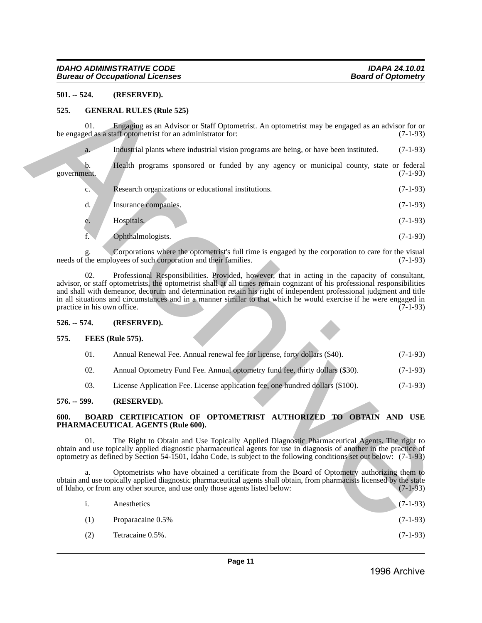#### <span id="page-10-0"></span>**501. -- 524. (RESERVED).**

#### <span id="page-10-2"></span><span id="page-10-1"></span>**525. GENERAL RULES (Rule 525)**

|      |                | (RESERVED).                                                                                         |                                                                                                                                                                                                                                                                                                                                                                                                                                                                                                                                                                                                                                                                                                                                                                                                                                                                                                                                                                                                                                                                                                                                                                                                                                                                    |
|------|----------------|-----------------------------------------------------------------------------------------------------|--------------------------------------------------------------------------------------------------------------------------------------------------------------------------------------------------------------------------------------------------------------------------------------------------------------------------------------------------------------------------------------------------------------------------------------------------------------------------------------------------------------------------------------------------------------------------------------------------------------------------------------------------------------------------------------------------------------------------------------------------------------------------------------------------------------------------------------------------------------------------------------------------------------------------------------------------------------------------------------------------------------------------------------------------------------------------------------------------------------------------------------------------------------------------------------------------------------------------------------------------------------------|
| 525. |                |                                                                                                     |                                                                                                                                                                                                                                                                                                                                                                                                                                                                                                                                                                                                                                                                                                                                                                                                                                                                                                                                                                                                                                                                                                                                                                                                                                                                    |
|      | 01.            | Engaging as an Advisor or Staff Optometrist. An optometrist may be engaged as an advisor for or     | $(7-1-93)$                                                                                                                                                                                                                                                                                                                                                                                                                                                                                                                                                                                                                                                                                                                                                                                                                                                                                                                                                                                                                                                                                                                                                                                                                                                         |
|      | a.             | Industrial plants where industrial vision programs are being, or have been instituted.              | $(7-1-93)$                                                                                                                                                                                                                                                                                                                                                                                                                                                                                                                                                                                                                                                                                                                                                                                                                                                                                                                                                                                                                                                                                                                                                                                                                                                         |
|      | b.             | Health programs sponsored or funded by any agency or municipal county, state or federal             | $(7-1-93)$                                                                                                                                                                                                                                                                                                                                                                                                                                                                                                                                                                                                                                                                                                                                                                                                                                                                                                                                                                                                                                                                                                                                                                                                                                                         |
|      | c.             | Research organizations or educational institutions.                                                 | $(7-1-93)$                                                                                                                                                                                                                                                                                                                                                                                                                                                                                                                                                                                                                                                                                                                                                                                                                                                                                                                                                                                                                                                                                                                                                                                                                                                         |
|      | d.             | Insurance companies.                                                                                | $(7-1-93)$                                                                                                                                                                                                                                                                                                                                                                                                                                                                                                                                                                                                                                                                                                                                                                                                                                                                                                                                                                                                                                                                                                                                                                                                                                                         |
|      | e.             | Hospitals.                                                                                          | $(7-1-93)$                                                                                                                                                                                                                                                                                                                                                                                                                                                                                                                                                                                                                                                                                                                                                                                                                                                                                                                                                                                                                                                                                                                                                                                                                                                         |
|      | f.             | Ophthalmologists.                                                                                   | $(7-1-93)$                                                                                                                                                                                                                                                                                                                                                                                                                                                                                                                                                                                                                                                                                                                                                                                                                                                                                                                                                                                                                                                                                                                                                                                                                                                         |
|      |                | Corporations where the optometrist's full time is engaged by the corporation to care for the visual | $(7-1-93)$                                                                                                                                                                                                                                                                                                                                                                                                                                                                                                                                                                                                                                                                                                                                                                                                                                                                                                                                                                                                                                                                                                                                                                                                                                                         |
|      | 02.            | Professional Responsibilities. Provided, however, that in acting in the capacity of consultant,     | $(7-1-93)$                                                                                                                                                                                                                                                                                                                                                                                                                                                                                                                                                                                                                                                                                                                                                                                                                                                                                                                                                                                                                                                                                                                                                                                                                                                         |
|      |                | (RESERVED).                                                                                         |                                                                                                                                                                                                                                                                                                                                                                                                                                                                                                                                                                                                                                                                                                                                                                                                                                                                                                                                                                                                                                                                                                                                                                                                                                                                    |
| 575. |                |                                                                                                     |                                                                                                                                                                                                                                                                                                                                                                                                                                                                                                                                                                                                                                                                                                                                                                                                                                                                                                                                                                                                                                                                                                                                                                                                                                                                    |
|      | 01.            | Annual Renewal Fee. Annual renewal fee for license, forty dollars (\$40).                           | $(7-1-93)$                                                                                                                                                                                                                                                                                                                                                                                                                                                                                                                                                                                                                                                                                                                                                                                                                                                                                                                                                                                                                                                                                                                                                                                                                                                         |
|      | 02.            | Annual Optometry Fund Fee. Annual optometry fund fee, thirty dollars (\$30).                        | $(7-1-93)$                                                                                                                                                                                                                                                                                                                                                                                                                                                                                                                                                                                                                                                                                                                                                                                                                                                                                                                                                                                                                                                                                                                                                                                                                                                         |
|      | 03.            | License Application Fee. License application fee, one hundred dollars (\$100).                      | $(7-1-93)$                                                                                                                                                                                                                                                                                                                                                                                                                                                                                                                                                                                                                                                                                                                                                                                                                                                                                                                                                                                                                                                                                                                                                                                                                                                         |
|      |                | (RESERVED).                                                                                         |                                                                                                                                                                                                                                                                                                                                                                                                                                                                                                                                                                                                                                                                                                                                                                                                                                                                                                                                                                                                                                                                                                                                                                                                                                                                    |
| 600. |                |                                                                                                     |                                                                                                                                                                                                                                                                                                                                                                                                                                                                                                                                                                                                                                                                                                                                                                                                                                                                                                                                                                                                                                                                                                                                                                                                                                                                    |
|      |                |                                                                                                     |                                                                                                                                                                                                                                                                                                                                                                                                                                                                                                                                                                                                                                                                                                                                                                                                                                                                                                                                                                                                                                                                                                                                                                                                                                                                    |
|      | a.             | Optometrists who have obtained a certificate from the Board of Optometry authorizing them to        | $(7-1-93)$                                                                                                                                                                                                                                                                                                                                                                                                                                                                                                                                                                                                                                                                                                                                                                                                                                                                                                                                                                                                                                                                                                                                                                                                                                                         |
|      | $\mathbf{i}$ . | Anesthetics                                                                                         | $(7-1-93)$                                                                                                                                                                                                                                                                                                                                                                                                                                                                                                                                                                                                                                                                                                                                                                                                                                                                                                                                                                                                                                                                                                                                                                                                                                                         |
|      | (1)            | Proparacaine 0.5%                                                                                   | $(7-1-93)$                                                                                                                                                                                                                                                                                                                                                                                                                                                                                                                                                                                                                                                                                                                                                                                                                                                                                                                                                                                                                                                                                                                                                                                                                                                         |
|      |                | $501. - 524.$<br>government.<br>$526. - 574.$<br>$576. - 599.$                                      | <b>GENERAL RULES (Rule 525)</b><br>be engaged as a staff optometrist for an administrator for:<br>needs of the employees of such corporation and their families.<br>advisor, or staff optometrists, the optometrist shall at all times remain cognizant of his professional responsibilities<br>and shall with demeanor, decorum and determination retain his right of independent professional judgment and title<br>in all situations and circumstances and in a manner similar to that which he would exercise if he were engaged in<br>practice in his own office.<br><b>FEES</b> (Rule 575).<br>BOARD CERTIFICATION OF OPTOMETRIST AUTHORIZED TO OBTAIN AND USE<br>PHARMACEUTICAL AGENTS (Rule 600).<br>01. The Right to Obtain and Use Topically Applied Diagnostic Pharmaceutical Agents. The right to obtain and use topically applied diagnostic pharmaceutical agents for use in diagnosis of another in the practice of<br>optometry as defined by Section 54-1501, Idaho Code, is subject to the following conditions set out below: (7-1-93)<br>obtain and use topically applied diagnostic pharmaceutical agents shall obtain, from pharmacists licensed by the state<br>of Idaho, or from any other source, and use only those agents listed below: |

#### <span id="page-10-3"></span>**526. -- 574. (RESERVED).**

#### <span id="page-10-4"></span>**575. FEES (Rule 575).**

- 01. Annual Renewal Fee. Annual renewal fee for license, forty dollars (\$40). (7-1-93)
- 02. Annual Optometry Fund Fee. Annual optometry fund fee, thirty dollars (\$30). (7-1-93)
- 03. License Application Fee. License application fee, one hundred dollars (\$100). (7-1-93)

#### <span id="page-10-5"></span>**576. -- 599. (RESERVED).**

#### <span id="page-10-6"></span>**600. BOARD CERTIFICATION OF OPTOMETRIST AUTHORIZED TO OBTAIN AND USE PHARMACEUTICAL AGENTS (Rule 600).**

| <sup>1</sup> | Anesthetics       | $(7-1-93)$ |
|--------------|-------------------|------------|
| (1)          | Proparacaine 0.5% | $(7-1-93)$ |
| (2)          | Tetracaine 0.5%.  | $(7-1-93)$ |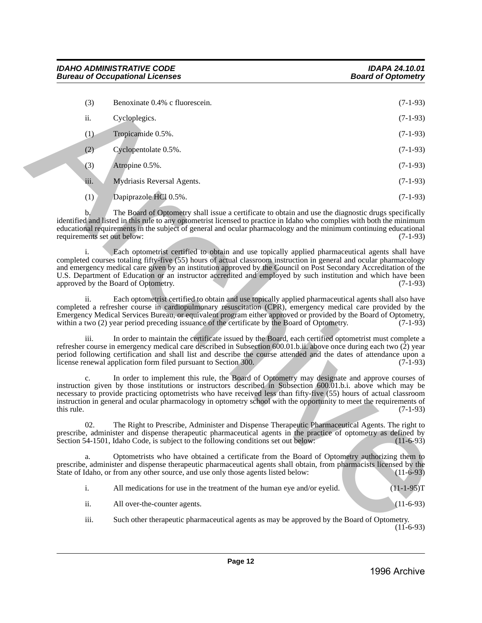| (3)                               | Benoxinate 0.4% c fluorescein.                                                                                                                                                                                                                                                                                                                                                                                                                                                                      | $(7-1-93)$   |
|-----------------------------------|-----------------------------------------------------------------------------------------------------------------------------------------------------------------------------------------------------------------------------------------------------------------------------------------------------------------------------------------------------------------------------------------------------------------------------------------------------------------------------------------------------|--------------|
| ii.                               | Cycloplegics.                                                                                                                                                                                                                                                                                                                                                                                                                                                                                       | $(7-1-93)$   |
| (1)                               | Tropicamide 0.5%.                                                                                                                                                                                                                                                                                                                                                                                                                                                                                   | $(7-1-93)$   |
| (2)                               | Cyclopentolate 0.5%.                                                                                                                                                                                                                                                                                                                                                                                                                                                                                | $(7-1-93)$   |
| (3)                               | Atropine 0.5%.                                                                                                                                                                                                                                                                                                                                                                                                                                                                                      | $(7-1-93)$   |
| iii.                              | Mydriasis Reversal Agents.                                                                                                                                                                                                                                                                                                                                                                                                                                                                          | $(7-1-93)$   |
| (1)                               | Dapiprazole HCl 0.5%.                                                                                                                                                                                                                                                                                                                                                                                                                                                                               | $(7-1-93)$   |
| b.<br>requirements set out below: | The Board of Optometry shall issue a certificate to obtain and use the diagnostic drugs specifically<br>identified and listed in this rule to any optometrist licensed to practice in Idaho who complies with both the minimum<br>educational requirements in the subject of general and ocular pharmacology and the minimum continuing educational                                                                                                                                                 | $(7-1-93)$   |
| i.                                | Each optometrist certified to obtain and use topically applied pharmaceutical agents shall have<br>completed courses totaling fifty-five (55) hours of actual classroom instruction in general and ocular pharmacology<br>and emergency medical care given by an institution approved by the Council on Post Secondary Accreditation of the<br>U.S. Department of Education or an instructor accredited and employed by such institution and which have been<br>approved by the Board of Optometry. | $(7-1-93)$   |
| ii.                               | Each optometrist certified to obtain and use topically applied pharmaceutical agents shall also have<br>completed a refresher course in cardiopulmonary resuscitation (CPR), emergency medical care provided by the<br>Emergency Medical Services Bureau, or equivalent program either approved or provided by the Board of Optometry,<br>within a two (2) year period preceding issuance of the certificate by the Board of Optometry.                                                             | $(7-1-93)$   |
| iii.                              | In order to maintain the certificate issued by the Board, each certified optometrist must complete a<br>refresher course in emergency medical care described in Subsection 600.01.b.ii. above once during each two (2) year<br>period following certification and shall list and describe the course attended and the dates of attendance upon a<br>license renewal application form filed pursuant to Section 300.                                                                                 | $(7-1-93)$   |
| $\mathbf{c}$ .<br>this rule.      | In order to implement this rule, the Board of Optometry may designate and approve courses of<br>instruction given by those institutions or instructors described in Subsection 600,01b.i. above which may be<br>necessary to provide practicing optometrists who have received less than fifty-five (55) hours of actual classroom<br>instruction in general and ocular pharmacology in optometry school with the opportunity to meet the requirements of                                           | $(7-1-93)$   |
| 02.                               | The Right to Prescribe, Administer and Dispense Therapeutic Pharmaceutical Agents. The right to<br>prescribe, administer and dispense therapeutic pharmaceutical agents in the practice of optometry as defined by<br>Section 54-1501, Idaho Code, is subject to the following conditions set out below:                                                                                                                                                                                            | $(11-6-93)$  |
| a.                                | Optometrists who have obtained a certificate from the Board of Optometry authorizing them to<br>prescribe, administer and dispense therapeutic pharmaceutical agents shall obtain, from pharmacists licensed by the<br>State of Idaho, or from any other source, and use only those agents listed below:                                                                                                                                                                                            | $(11-6-93)$  |
| i.                                | All medications for use in the treatment of the human eye and/or eyelid.                                                                                                                                                                                                                                                                                                                                                                                                                            | $(11-1-95)T$ |
| ii.                               | All over-the-counter agents.                                                                                                                                                                                                                                                                                                                                                                                                                                                                        | $(11-6-93)$  |
| iii.                              | Such other therapeutic pharmaceutical agents as may be approved by the Board of Optometry.                                                                                                                                                                                                                                                                                                                                                                                                          |              |

iii. Such other therapeutic pharmaceutical agents as may be approved by the Board of Optometry.  $(11 - 6 - 93)$